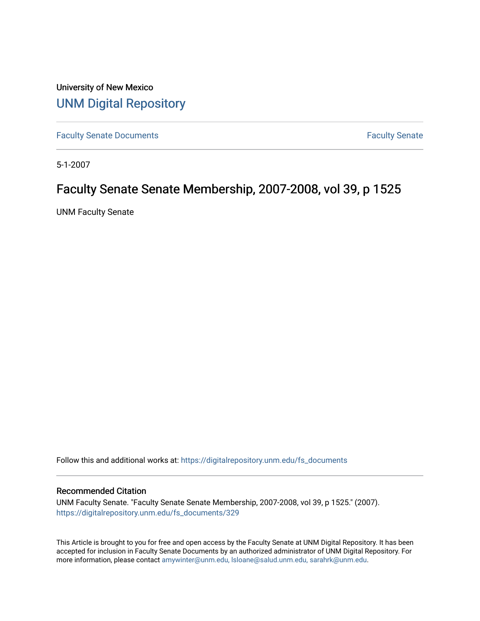University of New Mexico [UNM Digital Repository](https://digitalrepository.unm.edu/) 

[Faculty Senate Documents](https://digitalrepository.unm.edu/fs_documents) **Faculty** Senate **Faculty** Senate

5-1-2007

## Faculty Senate Senate Membership, 2007-2008, vol 39, p 1525

UNM Faculty Senate

Follow this and additional works at: [https://digitalrepository.unm.edu/fs\\_documents](https://digitalrepository.unm.edu/fs_documents?utm_source=digitalrepository.unm.edu%2Ffs_documents%2F329&utm_medium=PDF&utm_campaign=PDFCoverPages)

#### Recommended Citation

UNM Faculty Senate. "Faculty Senate Senate Membership, 2007-2008, vol 39, p 1525." (2007). [https://digitalrepository.unm.edu/fs\\_documents/329](https://digitalrepository.unm.edu/fs_documents/329?utm_source=digitalrepository.unm.edu%2Ffs_documents%2F329&utm_medium=PDF&utm_campaign=PDFCoverPages)

This Article is brought to you for free and open access by the Faculty Senate at UNM Digital Repository. It has been accepted for inclusion in Faculty Senate Documents by an authorized administrator of UNM Digital Repository. For more information, please contact [amywinter@unm.edu, lsloane@salud.unm.edu, sarahrk@unm.edu](mailto:amywinter@unm.edu,%20lsloane@salud.unm.edu,%20sarahrk@unm.edu).